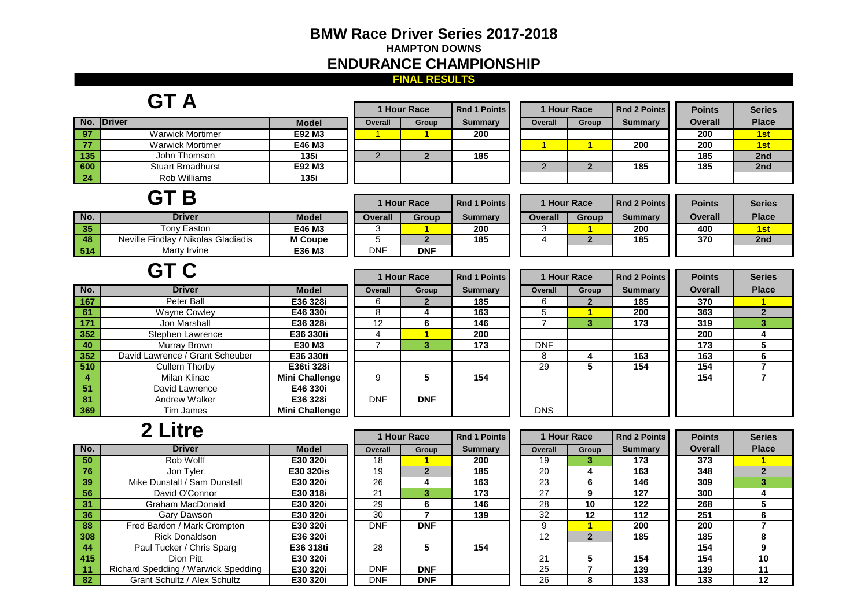| Rnd 1 Points<br><b>Summary</b> | <b>Overall</b> | <b>1 Hour Race</b><br><b>Group</b> | Rnd 2 Points<br><b>Summary</b> | <b>Points</b><br><b>Overall</b> | <b>Series</b><br><b>Place</b> |
|--------------------------------|----------------|------------------------------------|--------------------------------|---------------------------------|-------------------------------|
| 200                            |                |                                    |                                | 200                             | 1st                           |
|                                |                |                                    | 200                            | 200                             | 1st                           |
| 185                            |                |                                    |                                | 185                             | 2nd                           |
|                                |                |                                    | 185                            | 185                             | 2nd                           |
|                                |                |                                    |                                |                                 |                               |

| <b>Rnd 1 Points</b> | <b>1 Hour Race</b> |              | <b>Rnd 2 Points</b> |  | <b>Points</b>  | <b>Series</b> |
|---------------------|--------------------|--------------|---------------------|--|----------------|---------------|
| <b>Summary</b>      | <b>Overall</b>     | <b>Group</b> | <b>Summary</b>      |  | <b>Overall</b> | <b>Place</b>  |
| 200                 |                    |              | 200                 |  | 400            | 1st           |
| 185                 |                    |              | 185                 |  | 370            | 2nd           |
|                     |                    |              |                     |  |                |               |

| No.               | Driver                                   | <b>Model</b> | <b>Overall</b> | Group      | Summarv | <b>Overall</b> | <b>Group</b> | <b>Summary</b> | <b>Overall</b> | <b>Place</b> |
|-------------------|------------------------------------------|--------------|----------------|------------|---------|----------------|--------------|----------------|----------------|--------------|
| 35                | <sup>,</sup> Easton<br>ony               | E46 M3       |                |            | 200     |                |              | 200            | 400            | <u>1st</u>   |
| 48                | / Nikolas Gladiadis<br>Neville Findlay 1 | Coupe        |                |            | 185     |                |              | 185            | 370            | 2nd          |
| $\vert 514 \vert$ | Marty<br>Irvine                          | E36 M3       | <b>DNF</b>     | <b>DNF</b> |         |                |              |                |                |              |

| <b>Rnd 1 Points</b> |                | <b>1 Hour Race</b> | <b>Rnd 2 Points</b> | <b>Points</b>  | <b>Series</b>  |
|---------------------|----------------|--------------------|---------------------|----------------|----------------|
| <b>Summary</b>      | <b>Overall</b> | <b>Group</b>       | <b>Summary</b>      | <b>Overall</b> | <b>Place</b>   |
| 185                 | 6              | $\mathbf{2}$       | 185                 | 370            |                |
| 163                 | 5              | z                  | 200                 | 363            | $\overline{2}$ |
| 146                 | 7              | 3                  | 173                 | 319            | 3              |
| 200                 |                |                    |                     | 200            | 4              |
| 173                 | <b>DNF</b>     |                    |                     | 173            | 5              |
|                     | 8              | 4                  | 163                 | 163            | 6              |
|                     | 29             | 5                  | 154                 | 154            |                |
| 154                 |                |                    |                     | 154            | 7              |
|                     |                |                    |                     |                |                |
|                     |                |                    |                     |                |                |
|                     | <b>DNS</b>     |                    |                     |                |                |

## 2 Litre

|        |                                 |                       |                |            |                |                |       |                |                | ______       |
|--------|---------------------------------|-----------------------|----------------|------------|----------------|----------------|-------|----------------|----------------|--------------|
| No.    | <b>Driver</b>                   | <b>Model</b>          | <b>Overall</b> | Group      | <b>Summary</b> | <b>Overall</b> | Group | <b>Summary</b> | <b>Overall</b> | <b>Place</b> |
| 167    | Peter Ball                      | E36 328i              | h              |            | 185            | b              |       | 185            | 370            |              |
| 61     | <b>Wayne Cowley</b>             | E46 330i              | 8              |            | 163            | Ð              |       | 200            | 363            |              |
| $-171$ | Jon Marshall                    | E36 328i              | 12             |            | 146            |                |       | 173            | 319            |              |
| 352    | <b>Stephen Lawrence</b>         | E36 330ti             |                |            | 200            |                |       |                | 200            |              |
| 40     | Murray Brown                    | E30 M3                |                |            | 173            | <b>DNF</b>     |       |                | 173            |              |
| $352$  | David Lawrence / Grant Scheuber | E36 330ti             |                |            |                | 8              |       | 163            | 163            |              |
| 510    | <b>Cullern Thorby</b>           | E36ti 328i            |                |            |                | 29             |       | 154            | 154            |              |
|        | Milan Klinac                    | <b>Mini Challenge</b> | 9              |            | 154            |                |       |                | 154            |              |
| 51     | David Lawrence                  | E46 330i              |                |            |                |                |       |                |                |              |
| -81    | <b>Andrew Walker</b>            | E36 328i              | <b>DNF</b>     | <b>DNF</b> |                |                |       |                |                |              |
| 369    | Tim James                       | <b>Mini Challenge</b> |                |            |                | <b>DNS</b>     |       |                |                |              |

|     |                          |              |                | 1 Hour Race | <b>Rnd 1 Points</b> |                | <b>Hour Race</b> | <b>Rnd 2 Points</b> | <b>Points</b>  | <b>Series</b> |
|-----|--------------------------|--------------|----------------|-------------|---------------------|----------------|------------------|---------------------|----------------|---------------|
|     | No. Driver               | <b>Model</b> | <b>Overall</b> | Group       | <b>Summary</b>      | <b>Overall</b> | Group            | <b>Summary</b>      | <b>Overall</b> | <b>Place</b>  |
| 97  | <b>Warwick Mortimer</b>  | E92 M3       |                |             | 200                 |                |                  |                     | 200            | 1st           |
| 77  | <b>Warwick Mortimer</b>  | E46 M3       |                |             |                     |                |                  | 200                 | 200            | 1st           |
| 135 | John Thomson             | 135i         |                |             | 185                 |                |                  |                     | 185            | 2nd           |
| 600 | <b>Stuart Broadhurst</b> | E92 M3       |                |             |                     |                |                  | 185                 | 185            | 2nd           |
| 24  | Rob Williams             | 135i         |                |             |                     |                |                  |                     |                |               |

|                | <b>1 Hour Race</b> | <b>Rnd 1 Points</b> |
|----------------|--------------------|---------------------|
| <b>Overall</b> | <b>Group</b>       | <b>Summary</b>      |
|                |                    | 200                 |
|                |                    |                     |
|                |                    | 185                 |
|                |                    |                     |
|                |                    |                     |

| <b>Rnd 1 Points</b><br><b>Summary</b> | <b>1 Hour Race</b><br><b>Overall</b> | <b>Group</b>   | <b>Rnd 2 Points</b><br><b>Summary</b> | <b>Points</b><br><b>Overall</b> | <b>Series</b><br><b>Place</b> |
|---------------------------------------|--------------------------------------|----------------|---------------------------------------|---------------------------------|-------------------------------|
|                                       |                                      |                |                                       |                                 |                               |
| 200                                   | 19                                   | 3              | 173                                   | 373                             |                               |
| 185                                   | 20                                   | 4              | 163                                   | 348                             | $\overline{2}$                |
| 163                                   | 23                                   | 6              | 146                                   | 309                             | $\overline{\mathbf{3}}$       |
| 173                                   | 27                                   | 9              | 127                                   | 300                             | 4                             |
| 146                                   | 28                                   | 10             | 122                                   | 268                             | 5                             |
| 139                                   | 32                                   | 12             | 112                                   | 251                             | $6\phantom{1}6$               |
|                                       | 9                                    |                | 200                                   | 200                             | 7                             |
|                                       | 12                                   | $\overline{2}$ | 185                                   | 185                             | 8                             |
| 154                                   |                                      |                |                                       | 154                             | 9                             |
|                                       | 21                                   | 5              | 154                                   | 154                             | 10                            |
|                                       | 25                                   | 7              | 139                                   | 139                             | 11                            |
|                                       | 26                                   | 8              | 133                                   | 133                             | 12                            |

| No.             | <b>Driver</b>                       | <b>Model</b> | <b>Overall</b> | Group      | <b>Summary</b> | <b>Overall</b> | <b>Group</b> | <b>Summary</b> | <b>Overall</b> | <b>Place</b> |
|-----------------|-------------------------------------|--------------|----------------|------------|----------------|----------------|--------------|----------------|----------------|--------------|
| 50              | Rob Wolff                           | E30 320i     | 18             |            | 200            | 19             |              | 173            | 373            |              |
| 76              | Jon Tyler                           | E30 320is    | 19             |            | 185            | 20             |              | 163            | 348            |              |
| 39              | Mike Dunstall / Sam Dunstall        | E30 320i     | 26             |            | 163            | 23             | 6            | 146            | 309            |              |
| 56              | David O'Connor                      | E30 318i     | 21             | າ          | 173            | 27             | 9            | 127            | 300            |              |
| 31              | <b>Graham MacDonald</b>             | E30 320i     | 29             | 6          | 146            | 28             | 10           | 122            | 268            |              |
| 36 <sup>1</sup> | <b>Gary Dawson</b>                  | E30 320i     | 30             |            | 139            | 32             | $12 \,$      | 112            | 251            |              |
| 88              | Fred Bardon / Mark Crompton         | E30 320i     | <b>DNF</b>     | <b>DNF</b> |                | 9              |              | 200            | 200            |              |
| 308             | <b>Rick Donaldson</b>               | E36 320i     |                |            |                | 12             |              | 185            | 185            |              |
| 44              | Paul Tucker / Chris Sparg           | E36 318ti    | 28             | 5          | 154            |                |              |                | 154            |              |
| 415             | Dion Pitt                           | E30 320i     |                |            |                | 21             |              | 154            | 154            | 10           |
| 11              | Richard Spedding / Warwick Spedding | E30 320i     | <b>DNF</b>     | <b>DNF</b> |                | 25             |              | 139            | 139            | 11           |
| 82              | <b>Grant Schultz / Alex Schultz</b> | E30 320i     | <b>DNF</b>     | <b>DNF</b> |                | 26             |              | 133            | 133            | 12           |

## **GT B**

|                | <b>1 Hour Race</b> | <b>Rnd 1 Points</b> |                | <b>1 Hour Race</b> |
|----------------|--------------------|---------------------|----------------|--------------------|
| <b>Overall</b> | Group              | <b>Summary</b>      | <b>Overall</b> | Gro                |
| 6              | $\mathbf{2}$       | 185                 | 6              | $\overline{2}$     |
| 8              | 4                  | 163                 | 5              | 1                  |
| 12             | 6                  | 146                 | 7              | 3                  |
| 4              |                    | 200                 |                |                    |
|                | 3                  | 173                 | <b>DNF</b>     |                    |
|                |                    |                     | 8              | 4                  |
|                |                    |                     | 29             | 5                  |
| 9              | 5                  | 154                 |                |                    |
|                |                    |                     |                |                    |
| <b>DNF</b>     | <b>DNF</b>         |                     |                |                    |
|                |                    |                     | <b>DNS</b>     |                    |

|                | 1 Hour Race<br><b>Rnd 1 Points</b> |                | 1 Hour Race    |     |
|----------------|------------------------------------|----------------|----------------|-----|
| <b>Overall</b> | Group                              | <b>Summary</b> | <b>Overall</b> | Gro |
|                |                                    | 200            |                |     |
|                |                                    | 185            |                |     |
| NNF            | DNF                                |                |                |     |

# **GT C**

### **FINAL RESULTS**

### **BMW Race Driver Series 2017-2018 HAMPTON DOWNS**

**ENDURANCE CHAMPIONSHIP**

|                | <b>1 Hour Race</b> | <b>Rnd 1 Points</b> |
|----------------|--------------------|---------------------|
| <b>Overall</b> | Group              | <b>Summary</b>      |
| 18             |                    | 200                 |
| 19             | $\overline{2}$     | 185                 |
| 26             | 4                  | 163                 |
| 21             | 3                  | 173                 |
| 29             | 6                  | 146                 |
| 30             | 7                  | 139                 |
| <b>DNF</b>     | <b>DNF</b>         |                     |
|                |                    |                     |
| 28             | 5                  | 154                 |
|                |                    |                     |
| <b>DNF</b>     | <b>DNF</b>         |                     |
| <b>DNF</b>     | <b>DNF</b>         |                     |